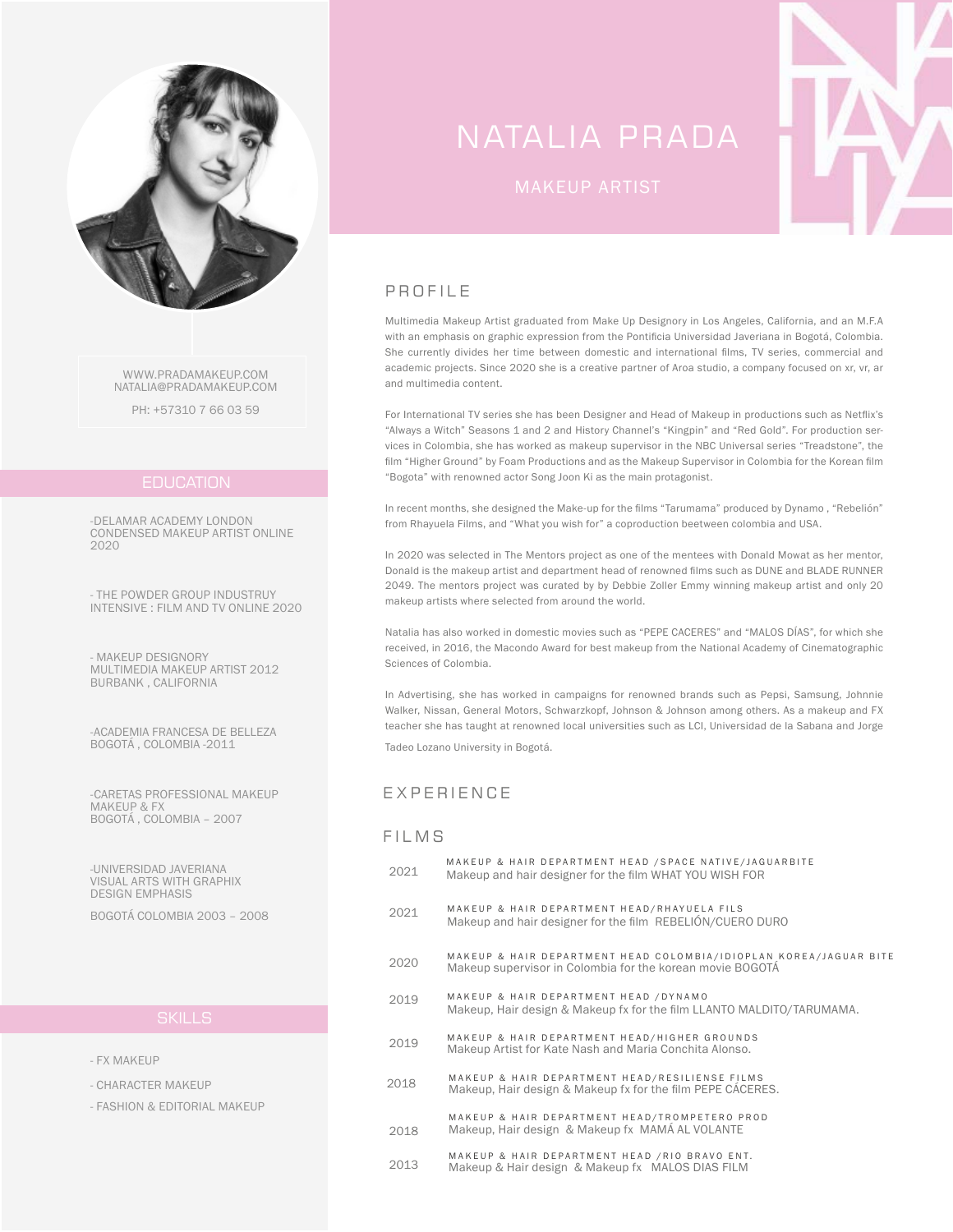

WWW.PRADAMAKEUP.COM NATALIA@PRADAMAKEUP.COM

PH: +57310 7 66 03 59

### **EDUCATION**

-DELAMAR ACADEMY LONDON CONDENSED MAKEUP ARTIST ONLINE 2020

- THE POWDER GROUP INDUSTRUY INTENSIVE : FILM AND TV ONLINE 2020

- MAKEUP DESIGNORY MULTIMEDIA MAKEUP ARTIST 2012 BURBANK , CALIFORNIA

-ACADEMIA FRANCESA DE BELLEZA BOGOTÁ , COLOMBIA -2011

-CARETAS PROFESSIONAL MAKEUP MAKEUP & FX BOGOTÁ , COLOMBIA – 2007

-UNIVERSIDAD JAVERIANA VISUAL ARTS WITH GRAPHIX DESIGN EMPHASIS

BOGOTÁ COLOMBIA 2003 – 2008

- FX MAKEUP
- CHARACTER MAKEUP
- FASHION & EDITORIAL MAKEUP

# NATALIA PRADA



# PROFILE

Multimedia Makeup Artist graduated from Make Up Designory in Los Angeles, California, and an M.F.A with an emphasis on graphic expression from the Pontificia Universidad Javeriana in Bogotá, Colombia. She currently divides her time between domestic and international films, TV series, commercial and academic projects. Since 2020 she is a creative partner of Aroa studio, a company focused on xr, vr, ar and multimedia content.

For International TV series she has been Designer and Head of Makeup in productions such as Netflix's "Always a Witch" Seasons 1 and 2 and History Channel's "Kingpin" and "Red Gold". For production services in Colombia, she has worked as makeup supervisor in the NBC Universal series "Treadstone", the film "Higher Ground" by Foam Productions and as the Makeup Supervisor in Colombia for the Korean film "Bogota" with renowned actor Song Joon Ki as the main protagonist.

In recent months, she designed the Make-up for the films "Tarumama" produced by Dynamo , "Rebelión" from Rhayuela Films, and "What you wish for" a coproduction beetween colombia and USA.

In 2020 was selected in The Mentors project as one of the mentees with Donald Mowat as her mentor, Donald is the makeup artist and department head of renowned films such as DUNE and BLADE RUNNER 2049. The mentors project was curated by by Debbie Zoller Emmy winning makeup artist and only 20 makeup artists where selected from around the world.

Natalia has also worked in domestic movies such as "PEPE CACERES" and "MALOS DÍAS", for which she received, in 2016, the Macondo Award for best makeup from the National Academy of Cinematographic Sciences of Colombia.

In Advertising, she has worked in campaigns for renowned brands such as Pepsi, Samsung, Johnnie Walker, Nissan, General Motors, Schwarzkopf, Johnson & Johnson among others. As a makeup and FX teacher she has taught at renowned local universities such as LCI, Universidad de la Sabana and Jorge

Tadeo Lozano University in Bogotá.

### EXPERIENCE

### **FILMS**

- 2021 MAKEUP & HAIR DEPARTMENT HEAD /SPACE NATIVE/JAGUARBITE Makeup and hair designer for the film WHAT YOU WISH FOR
- 2021 MAKEUP & HAIR DEPARTMENT HEAD/RHAYUELA FILS Makeup and hair designer for the film REBELIÓN/CUERO DURO
- 2020 MAKEUP & HAIR DEPARTMENT HEAD COLOMBIA/IDIOPLAN KOREA/JAGUAR BITE Makeup supervisor in Colombia for the korean movie BOGOTÁ
- 2019 MAKEUP & HAIR DEPARTMENT HEAD /DYNAMO Makeup, Hair design & Makeup fx for the film LLANTO MALDITO/TARUMAMA.
- 2019 MAKEUP & HAIR DEPARTMENT HEAD/HIGHER GROUNDS Makeup Artist for Kate Nash and Maria Conchita Alonso.
- 2018 MAKEUP & HAIR DEPARTMENT HEAD/RESILIENSE FILMS Makeup, Hair design & Makeup fx for the film PEPE CÁCERES.
- 2018 MAKEUP & HAIR DEPARTMENT HEAD/TROMPETERO PROD Makeup, Hair design & Makeup fx MAMÁ AL VOLANTE
- <sup>2013</sup> MAKEUP & HAIR DEPARTMENT HEAD /RIO BRAVO ENT. Makeup & Hair design & Makeup fx MALOS DIAS FILM